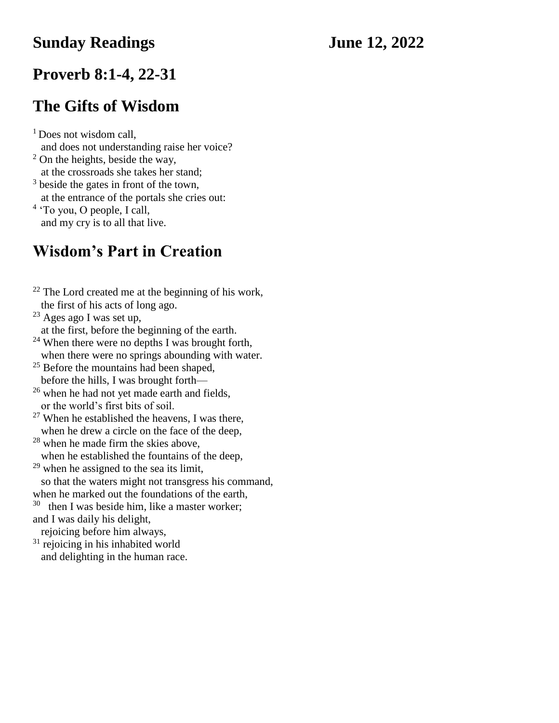#### **Sunday Readings June 12, 2022**

#### **Proverb 8:1-4, 22-31**

### **The Gifts of Wisdom**

<sup>1</sup> Does not wisdom call, and does not understanding raise her voice? <sup>2</sup> On the heights, beside the way, at the crossroads she takes her stand; <sup>3</sup> beside the gates in front of the town,

at the entrance of the portals she cries out:

<sup>4</sup> 'To you, O people, I call, and my cry is to all that live.

## **Wisdom's Part in Creation**

 $22$  The Lord created me at the beginning of his work, the first of his acts of long ago.  $23$  Ages ago I was set up. at the first, before the beginning of the earth.  $24$  When there were no depths I was brought forth, when there were no springs abounding with water.  $25$  Before the mountains had been shaped, before the hills, I was brought forth— <sup>26</sup> when he had not yet made earth and fields, or the world's first bits of soil.  $27$  When he established the heavens, I was there, when he drew a circle on the face of the deep, <sup>28</sup> when he made firm the skies above, when he established the fountains of the deep,  $29$  when he assigned to the sea its limit, so that the waters might not transgress his command, when he marked out the foundations of the earth,  $30$  then I was beside him, like a master worker; and I was daily his delight, rejoicing before him always,  $31$  rejoicing in his inhabited world and delighting in the human race.